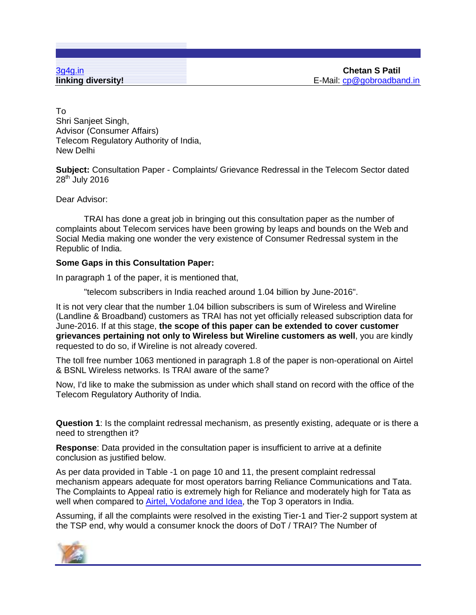To Shri Sanjeet Singh, Advisor (Consumer Affairs) Telecom Regulatory Authority of India, New Delhi

**Subject:** Consultation Paper - Complaints/ Grievance Redressal in the Telecom Sector dated  $28<sup>th</sup>$  July 2016

Dear Advisor:

TRAI has done a great job in bringing out this consultation paper as the number of complaints about Telecom services have been growing by leaps and bounds on the Web and Social Media making one wonder the very existence of Consumer Redressal system in the Republic of India.

## **Some Gaps in this Consultation Paper:**

In paragraph 1 of the paper, it is mentioned that,

"telecom subscribers in India reached around 1.04 billion by June-2016".

It is not very clear that the number 1.04 billion subscribers is sum of Wireless and Wireline (Landline & Broadband) customers as TRAI has not yet officially released subscription data for June-2016. If at this stage, **the scope of this paper can be extended to cover customer grievances pertaining not only to Wireless but Wireline customers as well**, you are kindly requested to do so, if Wireline is not already covered.

The toll free number 1063 mentioned in paragraph 1.8 of the paper is non-operational on Airtel & BSNL Wireless networks. Is TRAI aware of the same?

Now, I'd like to make the submission as under which shall stand on record with the office of the Telecom Regulatory Authority of India.

**Question 1**: Is the complaint redressal mechanism, as presently existing, adequate or is there a need to strengthen it?

**Response**: Data provided in the consultation paper is insufficient to arrive at a definite conclusion as justified below.

As per data provided in Table -1 on page 10 and 11, the present complaint redressal mechanism appears adequate for most operators barring Reliance Communications and Tata. The Complaints to Appeal ratio is extremely high for Reliance and moderately high for Tata as well when compared to [Airtel, Vodafone and Idea,](http://3g4g.in/tag/a-vo-id-telecom-operators/) the Top 3 operators in India.

Assuming, if all the complaints were resolved in the existing Tier-1 and Tier-2 support system at the TSP end, why would a consumer knock the doors of DoT / TRAI? The Number of

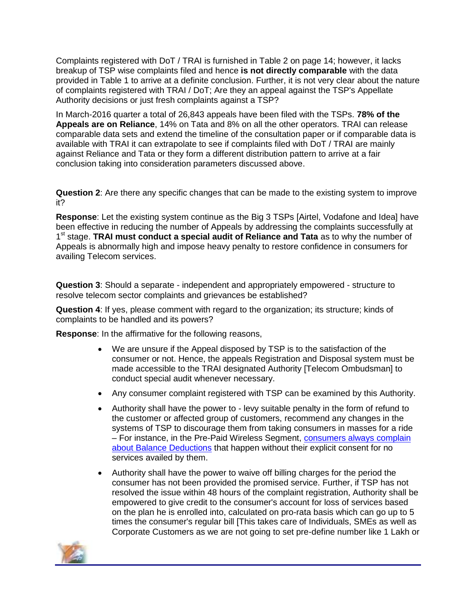Complaints registered with DoT / TRAI is furnished in Table 2 on page 14; however, it lacks breakup of TSP wise complaints filed and hence **is not directly comparable** with the data provided in Table 1 to arrive at a definite conclusion. Further, it is not very clear about the nature of complaints registered with TRAI / DoT; Are they an appeal against the TSP's Appellate Authority decisions or just fresh complaints against a TSP?

In March-2016 quarter a total of 26,843 appeals have been filed with the TSPs. **78% of the Appeals are on Reliance**, 14% on Tata and 8% on all the other operators. TRAI can release comparable data sets and extend the timeline of the consultation paper or if comparable data is available with TRAI it can extrapolate to see if complaints filed with DoT / TRAI are mainly against Reliance and Tata or they form a different distribution pattern to arrive at a fair conclusion taking into consideration parameters discussed above.

**Question 2**: Are there any specific changes that can be made to the existing system to improve it?

**Response**: Let the existing system continue as the Big 3 TSPs [Airtel, Vodafone and Idea] have been effective in reducing the number of Appeals by addressing the complaints successfully at 1<sup>st</sup> stage. TRAI must conduct a special audit of Reliance and Tata as to why the number of Appeals is abnormally high and impose heavy penalty to restore confidence in consumers for availing Telecom services.

**Question 3**: Should a separate - independent and appropriately empowered - structure to resolve telecom sector complaints and grievances be established?

**Question 4**: If yes, please comment with regard to the organization; its structure; kinds of complaints to be handled and its powers?

**Response**: In the affirmative for the following reasons,

- We are unsure if the Appeal disposed by TSP is to the satisfaction of the consumer or not. Hence, the appeals Registration and Disposal system must be made accessible to the TRAI designated Authority [Telecom Ombudsman] to conduct special audit whenever necessary.
- Any consumer complaint registered with TSP can be examined by this Authority.
- Authority shall have the power to levy suitable penalty in the form of refund to the customer or affected group of customers, recommend any changes in the systems of TSP to discourage them from taking consumers in masses for a ride – For instance, in the Pre-Paid Wireless Segment, [consumers always complain](http://3g4g.in/2013/03/15/airtel-idea-cellular-worst-pre-paid-billing-unauthorized-deductions/)  [about Balance Deductions](http://3g4g.in/2013/03/15/airtel-idea-cellular-worst-pre-paid-billing-unauthorized-deductions/) that happen without their explicit consent for no services availed by them.
- Authority shall have the power to waive off billing charges for the period the consumer has not been provided the promised service. Further, if TSP has not resolved the issue within 48 hours of the complaint registration, Authority shall be empowered to give credit to the consumer's account for loss of services based on the plan he is enrolled into, calculated on pro-rata basis which can go up to 5 times the consumer's regular bill [This takes care of Individuals, SMEs as well as Corporate Customers as we are not going to set pre-define number like 1 Lakh or

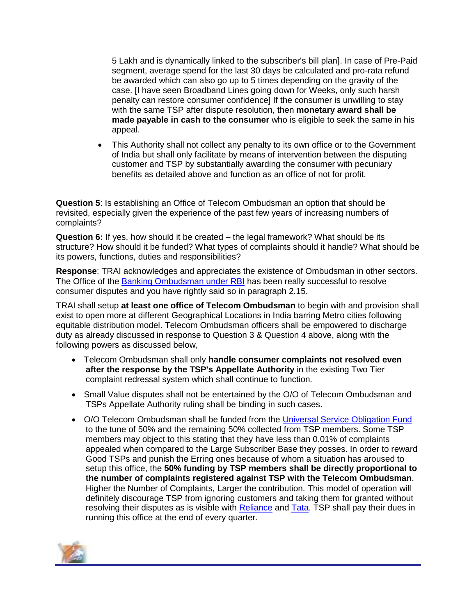5 Lakh and is dynamically linked to the subscriber's bill plan]. In case of Pre-Paid segment, average spend for the last 30 days be calculated and pro-rata refund be awarded which can also go up to 5 times depending on the gravity of the case. [I have seen Broadband Lines going down for Weeks, only such harsh penalty can restore consumer confidence] If the consumer is unwilling to stay with the same TSP after dispute resolution, then **monetary award shall be made payable in cash to the consumer** who is eligible to seek the same in his appeal.

 This Authority shall not collect any penalty to its own office or to the Government of India but shall only facilitate by means of intervention between the disputing customer and TSP by substantially awarding the consumer with pecuniary benefits as detailed above and function as an office of not for profit.

**Question 5**: Is establishing an Office of Telecom Ombudsman an option that should be revisited, especially given the experience of the past few years of increasing numbers of complaints?

**Question 6:** If yes, how should it be created – the legal framework? What should be its structure? How should it be funded? What types of complaints should it handle? What should be its powers, functions, duties and responsibilities?

**Response**: TRAI acknowledges and appreciates the existence of Ombudsman in other sectors. The Office of the **Banking Ombudsman under RBI** has been really successful to resolve consumer disputes and you have rightly said so in paragraph 2.15.

TRAI shall setup **at least one office of Telecom Ombudsman** to begin with and provision shall exist to open more at different Geographical Locations in India barring Metro cities following equitable distribution model. Telecom Ombudsman officers shall be empowered to discharge duty as already discussed in response to Question 3 & Question 4 above, along with the following powers as discussed below,

- Telecom Ombudsman shall only **handle consumer complaints not resolved even after the response by the TSP's Appellate Authority** in the existing Two Tier complaint redressal system which shall continue to function.
- Small Value disputes shall not be entertained by the O/O of Telecom Ombudsman and TSPs Appellate Authority ruling shall be binding in such cases.
- O/O Telecom Ombudsman shall be funded from the [Universal Service Obligation Fund](http://www.usof.gov.in/) to the tune of 50% and the remaining 50% collected from TSP members. Some TSP members may object to this stating that they have less than 0.01% of complaints appealed when compared to the Large Subscriber Base they posses. In order to reward Good TSPs and punish the Erring ones because of whom a situation has aroused to setup this office, the **50% funding by TSP members shall be directly proportional to the number of complaints registered against TSP with the Telecom Ombudsman**. Higher the Number of Complaints, Larger the contribution. This model of operation will definitely discourage TSP from ignoring customers and taking them for granted without resolving their disputes as is visible with [Reliance](http://www.complaintbox.in/category/reliance-jio-infocomm/) and [Tata.](https://www.tatadocomo.com/en-in/nodal-appellate) TSP shall pay their dues in running this office at the end of every quarter.

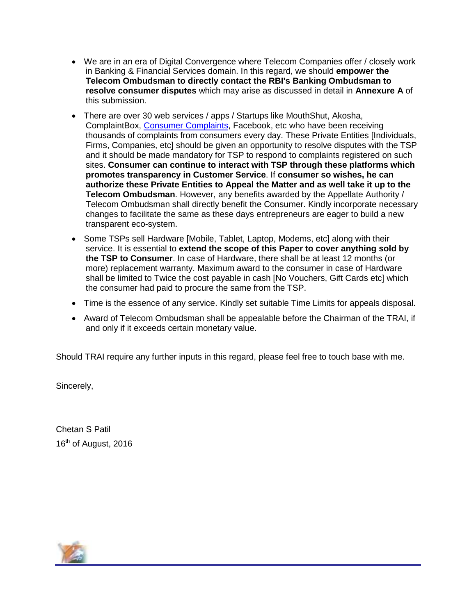- We are in an era of Digital Convergence where Telecom Companies offer / closely work in Banking & Financial Services domain. In this regard, we should **empower the Telecom Ombudsman to directly contact the RBI's Banking Ombudsman to resolve consumer disputes** which may arise as discussed in detail in **Annexure A** of this submission.
- There are over 30 web services / apps / Startups like MouthShut, Akosha, ComplaintBox, Consumer [Complaints,](http://www.complaintbox.in/) Facebook, etc who have been receiving thousands of complaints from consumers every day. These Private Entities [Individuals, Firms, Companies, etc] should be given an opportunity to resolve disputes with the TSP and it should be made mandatory for TSP to respond to complaints registered on such sites. **Consumer can continue to interact with TSP through these platforms which promotes transparency in Customer Service**. If **consumer so wishes, he can authorize these Private Entities to Appeal the Matter and as well take it up to the Telecom Ombudsman**. However, any benefits awarded by the Appellate Authority / Telecom Ombudsman shall directly benefit the Consumer. Kindly incorporate necessary changes to facilitate the same as these days entrepreneurs are eager to build a new transparent eco-system.
- Some TSPs sell Hardware [Mobile, Tablet, Laptop, Modems, etc] along with their service. It is essential to **extend the scope of this Paper to cover anything sold by the TSP to Consumer**. In case of Hardware, there shall be at least 12 months (or more) replacement warranty. Maximum award to the consumer in case of Hardware shall be limited to Twice the cost payable in cash [No Vouchers, Gift Cards etc] which the consumer had paid to procure the same from the TSP.
- Time is the essence of any service. Kindly set suitable Time Limits for appeals disposal.
- Award of Telecom Ombudsman shall be appealable before the Chairman of the TRAI, if and only if it exceeds certain monetary value.

Should TRAI require any further inputs in this regard, please feel free to touch base with me.

Sincerely,

Chetan S Patil  $16<sup>th</sup>$  of August, 2016